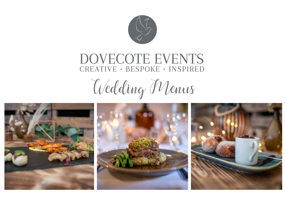

# DOVECOTE EVENTS CREATIVE • BESPOKE • INSPIRED Wedding Menus

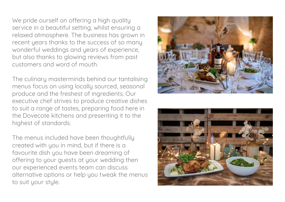We pride ourself on offering a high quality service in a beautiful setting, whilst ensuring a relaxed atmosphere. The business has grown in recent years thanks to the success of so many wonderful weddings and years of experience, but also thanks to glowing reviews from past customers and word of mouth.

The culinary masterminds behind our tantalising menus focus on using locally sourced, seasonal produce and the freshest of ingredients. Our executive chef strives to produce creative dishes to suit a range of tastes, preparing food here in the Dovecote kitchens and presenting it to the highest of standards.

The menus included have been thoughtfully created with you in mind, but if there is a favourite dish you have been dreaming of offering to your guests at your wedding then our experienced events team can discuss alternative options or help you tweak the menus to suit your style.



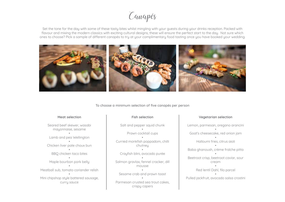Canapés

Set the tone for the day with some of these tasty bites whilst mingling with your guests during your drinks reception. Packed with flavour and mixing the modern classics with exciting cultural designs, these will ensure the perfect start to the day. Not sure which ones to choose? Pick a sample of different canapés to try at your complimentary food tasting once you have booked your wedding.



To choose a minimum selection of five canapés per person

#### **Meat selection**

Seared beef skewer, wasabi mayonnaise, sesame • Lamb and pea Wellington • Chicken liver pate choux bun • BBQ chicken taco bites • Maple bourbon pork belly • Meatball sub, tomato coriander relish • Mini chipshop style battered sausage, curry sauce

#### **Fish selection**

Salt and pepper squid chunk • Prawn cocktail cups • Curried monkfish poppadom, chilli chutney • Crayfish blini, avocado purée • Salmon gravlax, fennel cracker, dill mousse • Sesame crab and prawn toast • Parmesan crusted sea trout cakes.

crispy capers

#### **selection Vegetarian**

Lemon, parmesan, oregano arancini • Goat's cheesecake, red onion jam • Halloumi fries, citrus aioli • Baba ghanoush, crème fraîche pitta • Beetroot crisp, beetroot caviar, sour cream • Red lentil Dahl, filo parcel • Pulled jackfruit, avocado salsa crostini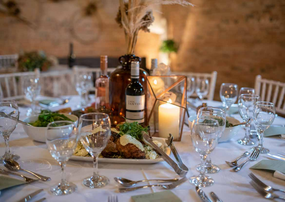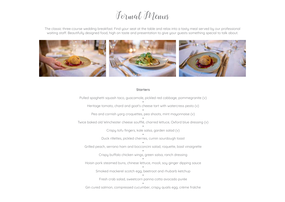Formal Menus

The classic three-course wedding breakfast. Find your seat at the table and relax into a tasty meal served by our professional waiting staff. Beautifully designed food, high on taste and presentation to give your guests something special to talk about.



#### **Starters**

Pulled spaghetti squash taco, quacamole, pickled red cabbage, pommegranite (v) • Heritage tomato, chard and goat's cheese tart with watercress pesto  $(v)$ • Pea and cornish yarg croquettes, pea shoots, mint mayonnaise  $(v)$ • Twice baked old Winchester cheese soufflé, charred lettuce, Oxford blue dressing (v) • Crispy tofu fingers, kale salsa, garden salad (v) • Duck rillettes, pickled cherries, cumin sourdough toast • Grilled peach, serrano ham and bocconcini salad, roquette, basil vinaigrette • Crispy buffalo chicken wings, green salsa, ranch dressing • Hoisin pork steamed buns, chinese lettuce, mooli, soy ginger dipping sauce • Smoked mackerel scotch egg, beetroot and rhubarb ketchup • Fresh crab salad, sweetcorn panna cotta avocado purée • Gin cured salmon, compressed cucumber, crispy quails egg, crème fraîche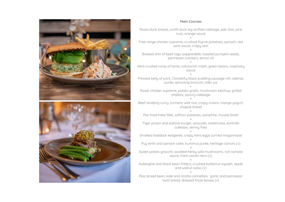



#### **Main Courses**

Roast duck breast, confit duck leg stuffed cabbage, pak choi, pine nuts, orange sauce

• Free range chicken supreme, crushed thume potatoes, spinach, red wine sauce, crispy skin

• Braised shin of beef ragu pappardelle, toasted pumpkin seeds. parmesan crackers, lemon oil

• Herb crusted rump of lamb, colcannon mash, areen beans, rosemaru sauce

• Pressed belly of pork. Clonakilty black pudding sausage roll, celeriac purée, sprouting broccoli, cider jus

• Roast chicken supreme, potato gratin, mushroom ketchup, grilled shallots, savory cabbage

• Beef rendang curry, turmeric wild rice, crispy onions, mango yogurt, chapati bread

• Pan fried hake fillet, saffron potatoes, samphire, mussel broth

• Tiger prawn and pollock burger, avocado, watercress, kohlrabi coleslaw, skinny fries

• Smoked haddock kedgeree, crispy hens eggs curried mayonnaise

• Puy lentil and spinach cake, hummus purée, heritage carrots (v)

• Sweet potato gnocchi, sautéed herby wild mushrooms, rich tomato sauce, fried cavolo nero (v)

• Aubergine and black bean fritters, crushed butternut squash, apple and walnut salsa  $(v)$ 

• Pea, broad bean, kale and ricotta cannelloni, garlic and parmesan twist bread, dressed frizze leaves (v)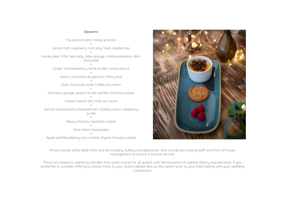#### **Desserts**

Fig panna cotta, honey granola • Lemon tart, raspberry mint jelly, fresh raspberries • Hooky beer trifle, beer jelly, date sponge, creme patissiere, dark chocolate • Ginger and blueberry crème brûlée, honey biscuit • Warm chocolate doughnuts, cherry fool • Dark chocolate torte, coffee ice cream • Guinness sponge, peanut butter parfait. Guinness squce • Classic treacle tart, milk ice cream • Apricot and pistachio bakewell tart, clotted cream, raspberry purée • Boozu tiramisu, hazelnut cookie • Eton mess cheesecake • Apple and Blackberry oat crumble, thyme infused custard



Prices include white table linen and all crockery, cutlery and glassware. Also include are waiting staff and front of house management to ensure a smooth service.

Prices are based on selecting one dish from each course for all quests, with the exception of special dietary requirements. If you would like to consider offering a choice menu to your quests please discuss this option prior to your food tasting with your wedding .coordinator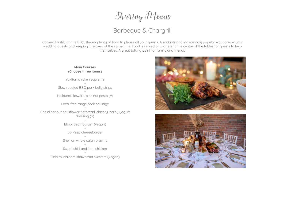Sharing Menus

## Barbeque & Chargrill

Cooked freshly on the BBO, there's plenty of food to please all your quests. A sociable and increasingly popular way to wow your wedding quests and keeping it relaxed at the same time. Food is served on platters to the centre of the tables for quests to help themselves. A great talking point for family and friends!

> **Main Courses (Choose three items)**

Yakitori chicken supreme • Slow roasted BBQ pork belly strips • Halloumi skewers, pine nut pesto (v) • Local free range pork sausage • Ras el hanout cauliflower flatbread, chicory, herby yogurt dressing  $(v)$ • Black bean burger (vegan) • Bo Peep cheeseburger • Shell on whole cajan prawns • Sweet chilli and lime chicken • Field mushroom shawarma skewers (vegan)



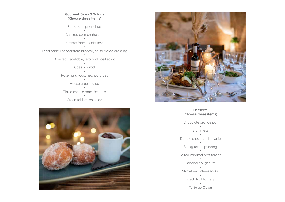**(Choose three items)** Salt and pepper chips • Charred corn on the cob • Creme frâiche coleslaw • Pearl barley, tenderstem broccoli, salsa Verde dressing • Roasted vegetable, fètâ and basil salad • Caesar salad • Rosemary roast new potatoes • House green salad • Three cheese mac'n'cheese • Green tabbouleh salad

**Gourmet Sides & Salads** 





**(Choose three items)** Chocolate orange pot • Eton mess • Double chocolate brownie • Sticky toffee pudding • Salted caramel profiteroles • Banana doughnuts • Strawberry cheesecake • Fresh fruit tartlets • Tarte au Citron

**Desserts**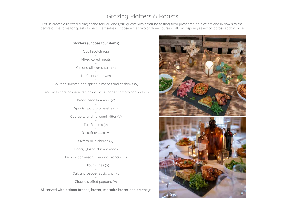### Grazing Platters & Roasts

Let us create a relaxed dining scene for you and your quests with amazing tasting food presented on platters and in bowls to the centre of the table for quests to help themselves. Choose either two or three courses with an inspiring selection across each course.

#### **Starters (Choose four items)**

Quail scotch egg

• Mixed cured meats

• Gin and dill cured salmon

> • Half pint of prawns

• Bo Peep smoked and spiced almonds and cashews (v)

• Tear and share gruyère, red onion and sundried tomato cob loaf (v)

> • Broad bean hummus (v) •

Spanish potato omelette (v) •

Courgette and halloumi fritter (v)

• Falafel bites (v)

• Bix soft cheese (v)

• Oxford blue cheese  $(v)$ 

• Honey glazed chicken wings

• Lemon, parmesan, oregano arancini (v)

> • Halloumi fries (v)

• Salt and pepper squid chunks

• Cheese stuffed peppers  $(v)$ 

All served with artisan breads, butter, marmite butter and chutneys

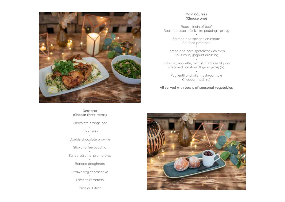

#### **Main Courses** (Choose one)

Boast sirloin of beef Roast potatoes, Yorkshire puddings, gravy

> • Salmon and spinach en croute Sautéed potatoes

• Lemon and herb spatchcock chicken Cous cous, yoghurt dressing

• Pistachio, roquette, mint stuffed loin of pork Creamed potatoes, thyme gravy  $(v)$ 

> • Puy lentil and wild mushroom pie Cheddar mash  $(v)$

All served with bowls of seasonal vegetables

**Desserts** (Choose three items)

Chocolate orange pot • Eton mess • Double chocolate brownie • Sticky toffee pudding • Salted caramel profiteroles • Banana doughnuts • Strawberry cheesecake • Fresh fruit tartlets • Tarte au Citron

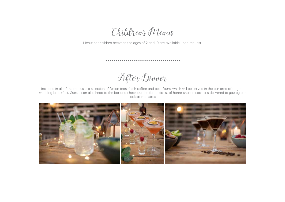Children's Menus

. Menus for children between the ages of 2 and 10 are available upon request.

After Binner

Included in all of the menus is a selection of fusion teas, fresh coffee and petit fours, which will be served in the bar area after your wedding breakfast. Guests can also head to the bar and check out the fantastic list of home-shaken cocktails delivered to you by our cocktail maestros.

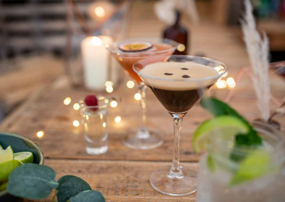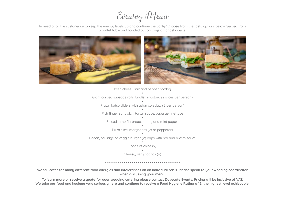Evening Menn

In need of a little sustanence to keep the energy levels up and continue the party? Choose from the tasty options below. Served from a buffet table and handed out on trays amongst quests.



Posh cheesy salt and pepper hotdog

• Giant carved sausage rolls, English mustard (2 slices per person)

• Prawn katsu sliders with asian coleslaw (2 per person)

• Fish finger sandwich, tartar sauce, baby gem lettuce

• Spiced lamb flatbread, honey and mint yogurt

• Pizza slice, margherita (v) or pepperoni

• Bacon, sausage or veggie burger (v) baps with red and brown sauce

> • Cones of chips (v)

• (cheesy, fiery nachos (v)

We will cater for many different food allergies and intolerances on an individual basis. Please speak to your wedding coordinator when discussing your menu.

To learn more or receive a quote for your wedding catering please contact Dovecote Events. Pricing will be inclusive of VAT. We take our food and hygiene very seriously here and continue to receive a Food Hygiene Rating of 5, the highest level achievable.